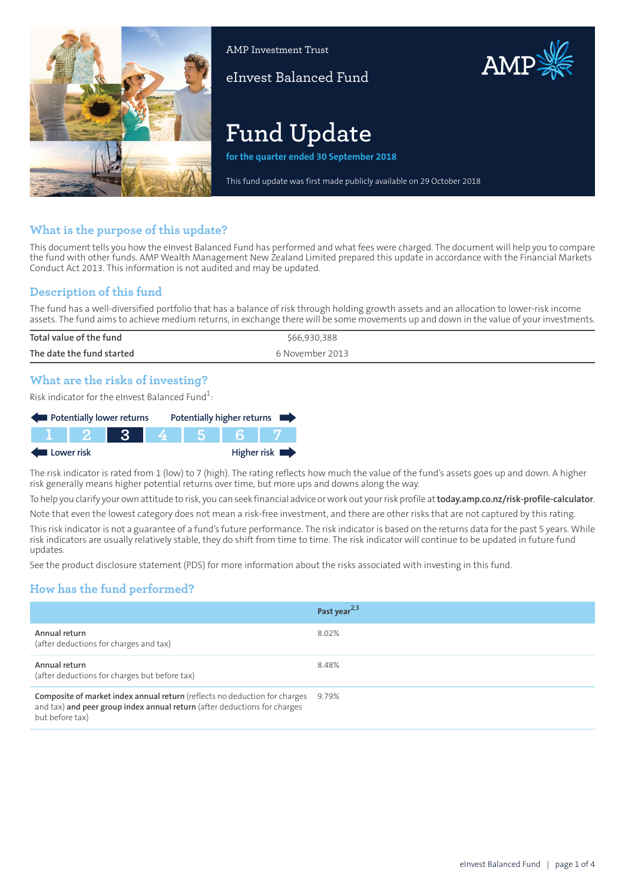

AMP Investment Trust

eInvest Balanced Fund

# **Fund Update**

**for the quarter ended 30 September 2018**

This fund update was first made publicly available on 29 October 2018

AMP

# **What is the purpose of this update?**

This document tells you how the eInvest Balanced Fund has performed and what fees were charged. The document will help you to compare the fund with other funds. AMP Wealth Management New Zealand Limited prepared this update in accordance with the Financial Markets Conduct Act 2013. This information is not audited and may be updated.

# **Description of this fund**

The fund has a well-diversified portfolio that has a balance of risk through holding growth assets and an allocation to lower-risk income assets. The fund aims to achieve medium returns, in exchange there will be some movements up and down in the value of your investments.

| Total value of the fund   | \$66,930,388    |
|---------------------------|-----------------|
| The date the fund started | 6 November 2013 |
|                           |                 |

# **What are the risks of investing?**

Risk indicator for the eInvest Balanced Fund $\rm ^1$ :

| Potentially lower returns |         |            |     | Potentially higher returns |
|---------------------------|---------|------------|-----|----------------------------|
|                           | T F 2 F | <b>AST</b> | 456 |                            |
| Lower risk                |         |            |     | Higher risk                |

The risk indicator is rated from 1 (low) to 7 (high). The rating reflects how much the value of the fund's assets goes up and down. A higher risk generally means higher potential returns over time, but more ups and downs along the way.

To help you clarify your own attitude to risk, you can seek financial advice orwork out yourrisk profile at**[today.amp.co.nz/risk-profile-calculator](http://today.amp.co.nz/risk-profile-calculator)**.

Note that even the lowest category does not mean a risk-free investment, and there are other risks that are not captured by this rating.

This risk indicator is not a guarantee of a fund's future performance. The risk indicator is based on the returns data for the past 5 years. While risk indicators are usually relatively stable, they do shift from time to time. The risk indicator will continue to be updated in future fund updates.

See the product disclosure statement (PDS) for more information about the risks associated with investing in this fund.

# **How has the fund performed?**

|                                                                                                                                                                            | Past year <sup>2,3</sup> |
|----------------------------------------------------------------------------------------------------------------------------------------------------------------------------|--------------------------|
| Annual return<br>(after deductions for charges and tax)                                                                                                                    | 8.02%                    |
| Annual return<br>(after deductions for charges but before tax)                                                                                                             | 8.48%                    |
| Composite of market index annual return (reflects no deduction for charges<br>and tax) and peer group index annual return (after deductions for charges<br>but before tax) | 9.79%                    |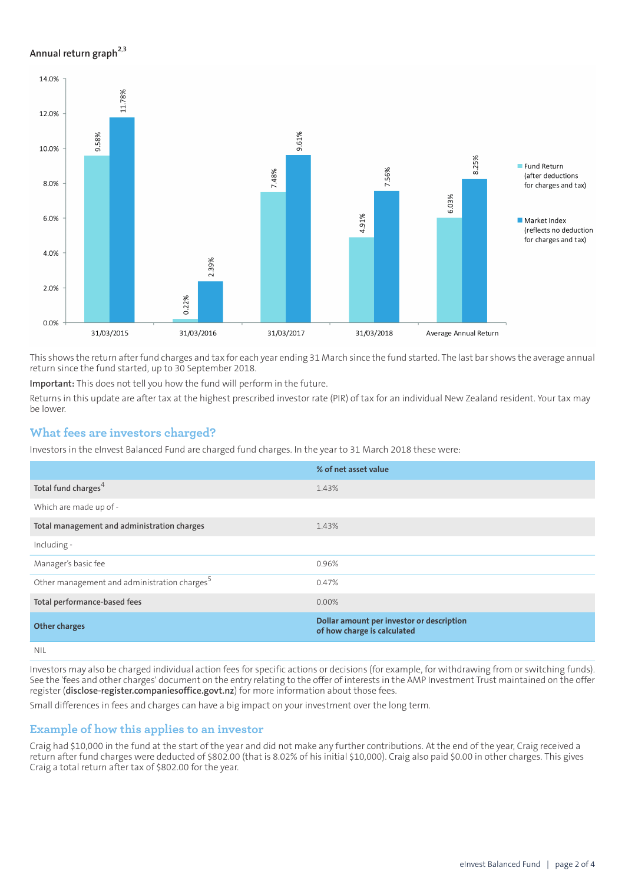## **Annual return graph[2](#page-3-0),[3](#page-3-1)**



This shows the return afterfund charges and tax for each year ending 31 March since the fund started. The last bar shows the average annual return since the fund started, up to 30 September 2018.

**Important:** This does not tell you how the fund will perform in the future.

Returns in this update are after tax at the highest prescribed investor rate (PIR) of tax for an individual New Zealand resident. Your tax may be lower.

## **What fees are investors charged?**

Investors in the eInvest Balanced Fund are charged fund charges. In the year to 31 March 2018 these were:

|                                                          | % of net asset value                                                     |
|----------------------------------------------------------|--------------------------------------------------------------------------|
| Total fund charges <sup>4</sup>                          | 1.43%                                                                    |
| Which are made up of -                                   |                                                                          |
| Total management and administration charges              | 1.43%                                                                    |
| Including -                                              |                                                                          |
| Manager's basic fee                                      | 0.96%                                                                    |
| Other management and administration charges <sup>5</sup> | 0.47%                                                                    |
| Total performance-based fees                             | $0.00\%$                                                                 |
| <b>Other charges</b>                                     | Dollar amount per investor or description<br>of how charge is calculated |
| NIII                                                     |                                                                          |

NIL

Investors may also be charged individual action fees for specific actions or decisions (for example, for withdrawing from or switching funds). See the 'fees and other charges' document on the entry relating to the offer of interests in the AMP Investment Trust maintained on the offer register (**[disclose-register.companiesoffice.govt.nz](https://disclose-register.companiesoffice.govt.nz/)**) for more information about those fees.

Small differences in fees and charges can have a big impact on your investment over the long term.

## **Example of how this applies to an investor**

Craig had \$10,000 in the fund at the start of the year and did not make any further contributions. At the end of the year, Craig received a return after fund charges were deducted of \$802.00 (that is 8.02% of his initial \$10,000). Craig also paid \$0.00 in other charges. This gives Craig a total return after tax of \$802.00 for the year.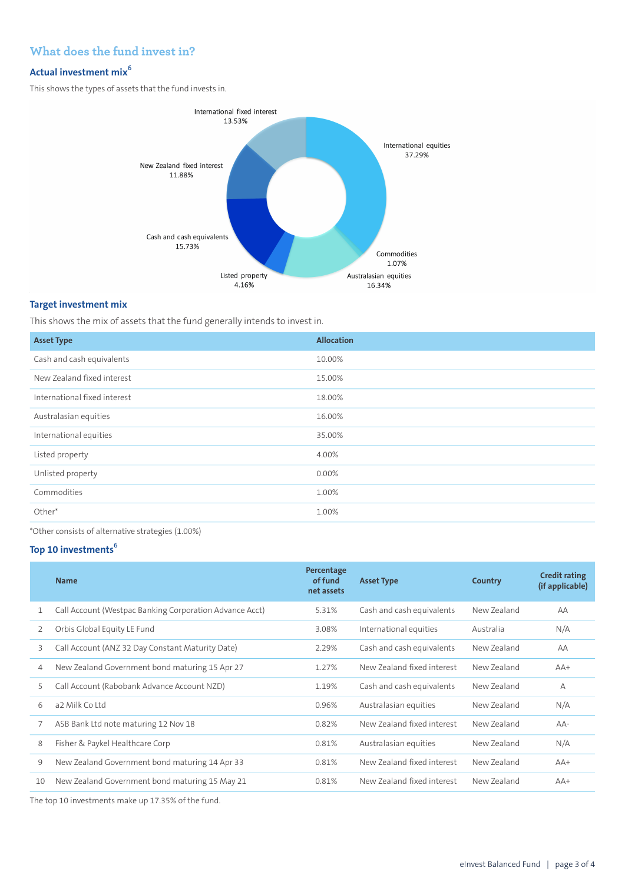# **What does the fund invest in?**

# **Actual investment mix<sup>6</sup>**

This shows the types of assets that the fund invests in.



## **Target investment mix**

This shows the mix of assets that the fund generally intends to invest in.

| <b>Asset Type</b>            | <b>Allocation</b> |
|------------------------------|-------------------|
| Cash and cash equivalents    | 10.00%            |
| New Zealand fixed interest   | 15.00%            |
| International fixed interest | 18.00%            |
| Australasian equities        | 16.00%            |
| International equities       | 35.00%            |
| Listed property              | 4.00%             |
| Unlisted property            | 0.00%             |
| Commodities                  | 1.00%             |
| Other*                       | 1.00%             |

\*Other consists of alternative strategies (1.00%)

## **Top 10 investments<sup>6</sup>**

|    | <b>Name</b>                                             | Percentage<br>of fund<br>net assets | <b>Asset Type</b>          | Country     | <b>Credit rating</b><br>(if applicable) |
|----|---------------------------------------------------------|-------------------------------------|----------------------------|-------------|-----------------------------------------|
|    | Call Account (Westpac Banking Corporation Advance Acct) | 5.31%                               | Cash and cash equivalents  | New Zealand | AA                                      |
| 2  | Orbis Global Equity LE Fund                             | 3.08%                               | International equities     | Australia   | N/A                                     |
| 3  | Call Account (ANZ 32 Day Constant Maturity Date)        | 2.29%                               | Cash and cash equivalents  | New Zealand | AA                                      |
| 4  | New Zealand Government bond maturing 15 Apr 27          | 1.27%                               | New Zealand fixed interest | New Zealand | $AA+$                                   |
| 5  | Call Account (Rabobank Advance Account NZD)             | 1.19%                               | Cash and cash equivalents  | New Zealand | $\overline{A}$                          |
| 6  | a2 Milk Coltd                                           | 0.96%                               | Australasian equities      | New Zealand | N/A                                     |
| 7  | ASB Bank Ltd note maturing 12 Nov 18                    | 0.82%                               | New Zealand fixed interest | New Zealand | $AA-$                                   |
| 8  | Fisher & Paykel Healthcare Corp                         | 0.81%                               | Australasian equities      | New Zealand | N/A                                     |
| 9  | New Zealand Government bond maturing 14 Apr 33          | 0.81%                               | New Zealand fixed interest | New Zealand | $AA+$                                   |
| 10 | New Zealand Government bond maturing 15 May 21          | 0.81%                               | New Zealand fixed interest | New Zealand | $AA+$                                   |
|    |                                                         |                                     |                            |             |                                         |

The top 10 investments make up 17.35% of the fund.